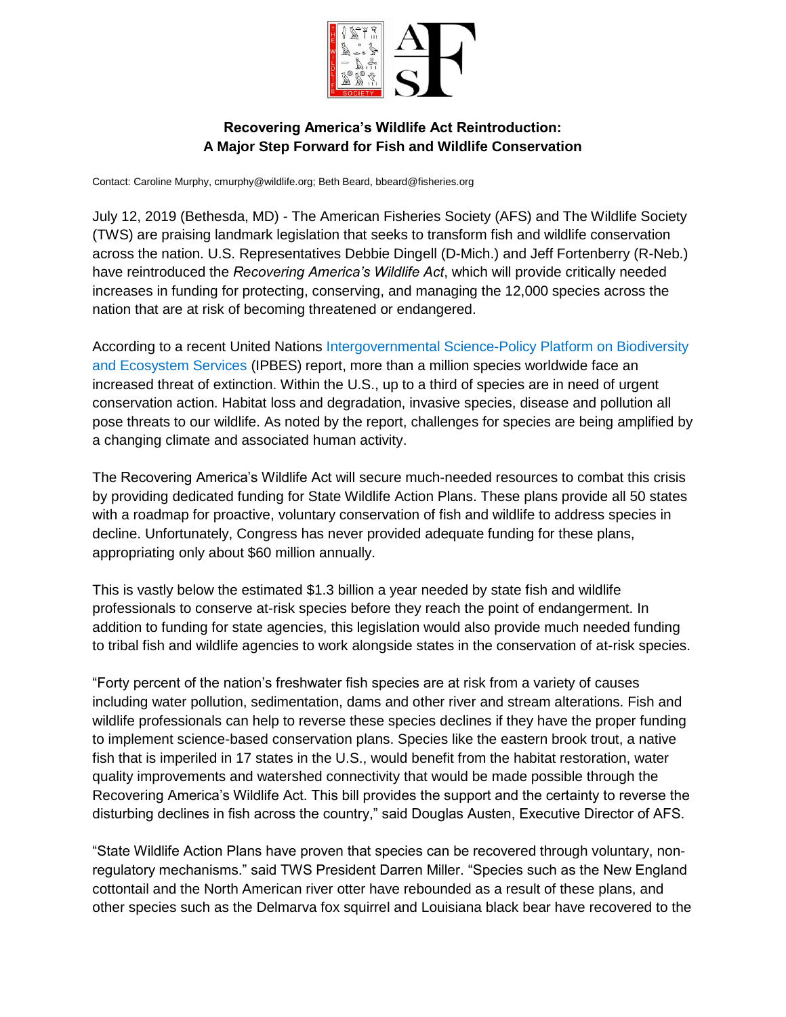

## **Recovering America's Wildlife Act Reintroduction: A Major Step Forward for Fish and Wildlife Conservation**

Contact: Caroline Murphy, cmurphy@wildlife.org; Beth Beard, bbeard@fisheries.org

July 12, 2019 (Bethesda, MD) - The American Fisheries Society (AFS) and The Wildlife Society (TWS) are praising landmark legislation that seeks to transform fish and wildlife conservation across the nation. U.S. Representatives Debbie Dingell (D-Mich.) and Jeff Fortenberry (R-Neb.) have reintroduced the *Recovering America's Wildlife Act*, which will provide critically needed increases in funding for protecting, conserving, and managing the 12,000 species across the nation that are at risk of becoming threatened or endangered.

According to a recent United Nations [Intergovernmental Science-Policy Platform on Biodiversity](https://www.ipbes.net/)  [and Ecosystem Services](https://www.ipbes.net/) (IPBES) report, more than a million species worldwide face an increased threat of extinction. Within the U.S., up to a third of species are in need of urgent conservation action. Habitat loss and degradation, invasive species, disease and pollution all pose threats to our wildlife. As noted by the report, challenges for species are being amplified by a changing climate and associated human activity.

The Recovering America's Wildlife Act will secure much-needed resources to combat this crisis by providing dedicated funding for State Wildlife Action Plans. These plans provide all 50 states with a roadmap for proactive, voluntary conservation of fish and wildlife to address species in decline. Unfortunately, Congress has never provided adequate funding for these plans, appropriating only about \$60 million annually.

This is vastly below the estimated \$1.3 billion a year needed by state fish and wildlife professionals to conserve at-risk species before they reach the point of endangerment. In addition to funding for state agencies, this legislation would also provide much needed funding to tribal fish and wildlife agencies to work alongside states in the conservation of at-risk species.

"Forty percent of the nation's freshwater fish species are at risk from a variety of causes including water pollution, sedimentation, dams and other river and stream alterations. Fish and wildlife professionals can help to reverse these species declines if they have the proper funding to implement science-based conservation plans. Species like the eastern brook trout, a native fish that is imperiled in 17 states in the U.S., would benefit from the habitat restoration, water quality improvements and watershed connectivity that would be made possible through the Recovering America's Wildlife Act. This bill provides the support and the certainty to reverse the disturbing declines in fish across the country," said Douglas Austen, Executive Director of AFS.

"State Wildlife Action Plans have proven that species can be recovered through voluntary, nonregulatory mechanisms." said TWS President Darren Miller. "Species such as the New England cottontail and the North American river otter have rebounded as a result of these plans, and other species such as the Delmarva fox squirrel and Louisiana black bear have recovered to the